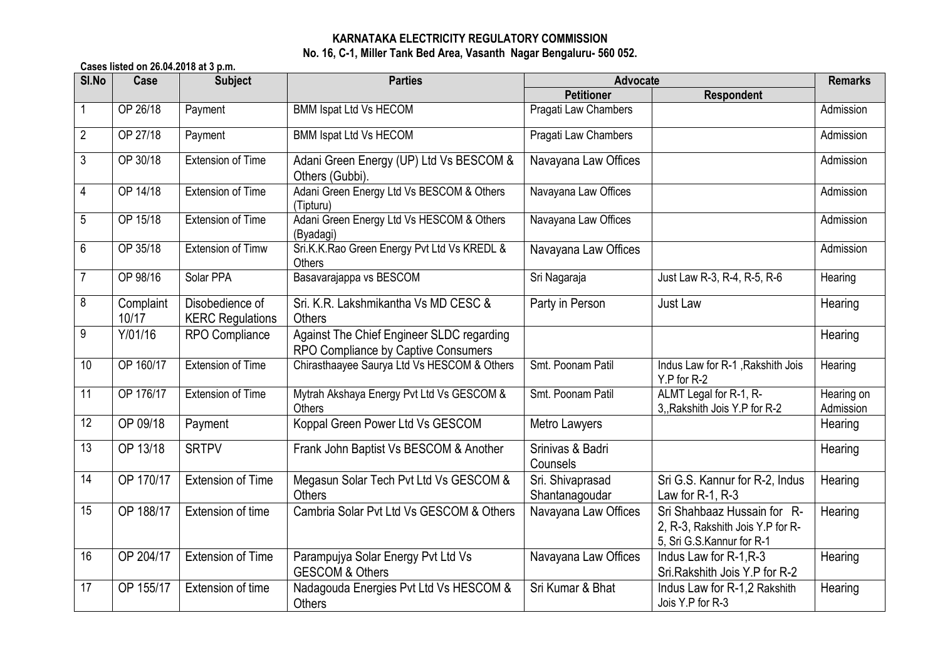## **KARNATAKA ELECTRICITY REGULATORY COMMISSION No. 16, C-1, Miller Tank Bed Area, Vasanth Nagar Bengaluru- 560 052.**

**Cases listed on 26.04.2018 at 3 p.m.**

| SI.No          | Case               | <b>Subject</b>                             | <b>Parties</b>                                                                   | Advocate                           |                                                                                              | <b>Remarks</b>          |
|----------------|--------------------|--------------------------------------------|----------------------------------------------------------------------------------|------------------------------------|----------------------------------------------------------------------------------------------|-------------------------|
|                |                    |                                            |                                                                                  | <b>Petitioner</b>                  | <b>Respondent</b>                                                                            |                         |
|                | OP 26/18           | Payment                                    | <b>BMM Ispat Ltd Vs HECOM</b>                                                    | Pragati Law Chambers               |                                                                                              | Admission               |
| $\overline{2}$ | OP 27/18           | Payment                                    | <b>BMM Ispat Ltd Vs HECOM</b>                                                    | Pragati Law Chambers               |                                                                                              | Admission               |
| 3              | OP 30/18           | <b>Extension of Time</b>                   | Adani Green Energy (UP) Ltd Vs BESCOM &<br>Others (Gubbi).                       | Navayana Law Offices               |                                                                                              | Admission               |
| 4              | OP 14/18           | <b>Extension of Time</b>                   | Adani Green Energy Ltd Vs BESCOM & Others<br>(Tipturu)                           | Navayana Law Offices               |                                                                                              | Admission               |
| 5              | OP 15/18           | <b>Extension of Time</b>                   | Adani Green Energy Ltd Vs HESCOM & Others<br>(Byadagi)                           | Navayana Law Offices               |                                                                                              | Admission               |
| 6              | OP 35/18           | <b>Extension of Timw</b>                   | Sri.K.K.Rao Green Energy Pvt Ltd Vs KREDL &<br>Others                            | Navayana Law Offices               |                                                                                              | Admission               |
| $\overline{7}$ | OP 98/16           | Solar PPA                                  | Basavarajappa vs BESCOM                                                          | Sri Nagaraja                       | Just Law R-3, R-4, R-5, R-6                                                                  | Hearing                 |
| 8              | Complaint<br>10/17 | Disobedience of<br><b>KERC Regulations</b> | Sri. K.R. Lakshmikantha Vs MD CESC &<br><b>Others</b>                            | Party in Person                    | Just Law                                                                                     | Hearing                 |
| 9              | Y/01/16            | RPO Compliance                             | Against The Chief Engineer SLDC regarding<br>RPO Compliance by Captive Consumers |                                    |                                                                                              | Hearing                 |
| 10             | OP 160/17          | <b>Extension of Time</b>                   | Chirasthaayee Saurya Ltd Vs HESCOM & Others                                      | Smt. Poonam Patil                  | Indus Law for R-1, Rakshith Jois<br>Y.P for R-2                                              | Hearing                 |
| 11             | OP 176/17          | Extension of Time                          | Mytrah Akshaya Energy Pvt Ltd Vs GESCOM &<br>Others                              | Smt. Poonam Patil                  | ALMT Legal for R-1, R-<br>3, Rakshith Jois Y.P for R-2                                       | Hearing on<br>Admission |
| 12             | OP 09/18           | Payment                                    | Koppal Green Power Ltd Vs GESCOM                                                 | Metro Lawyers                      |                                                                                              | Hearing                 |
| 13             | OP 13/18           | <b>SRTPV</b>                               | Frank John Baptist Vs BESCOM & Another                                           | Srinivas & Badri<br>Counsels       |                                                                                              | Hearing                 |
| 14             | OP 170/17          | <b>Extension of Time</b>                   | Megasun Solar Tech Pvt Ltd Vs GESCOM &<br><b>Others</b>                          | Sri. Shivaprasad<br>Shantanagoudar | Sri G.S. Kannur for R-2, Indus<br>Law for $R-1$ , $R-3$                                      | Hearing                 |
| 15             | OP 188/17          | Extension of time                          | Cambria Solar Pyt Ltd Vs GESCOM & Others                                         | Navayana Law Offices               | Sri Shahbaaz Hussain for R-<br>2, R-3, Rakshith Jois Y.P for R-<br>5, Sri G.S.Kannur for R-1 | Hearing                 |
| 16             | OP 204/17          | <b>Extension of Time</b>                   | Parampujya Solar Energy Pvt Ltd Vs<br><b>GESCOM &amp; Others</b>                 | Navayana Law Offices               | Indus Law for R-1, R-3<br>Sri.Rakshith Jois Y.P for R-2                                      | Hearing                 |
| 17             | OP 155/17          | Extension of time                          | Nadagouda Energies Pvt Ltd Vs HESCOM &<br><b>Others</b>                          | Sri Kumar & Bhat                   | Indus Law for R-1,2 Rakshith<br>Jois Y.P for R-3                                             | Hearing                 |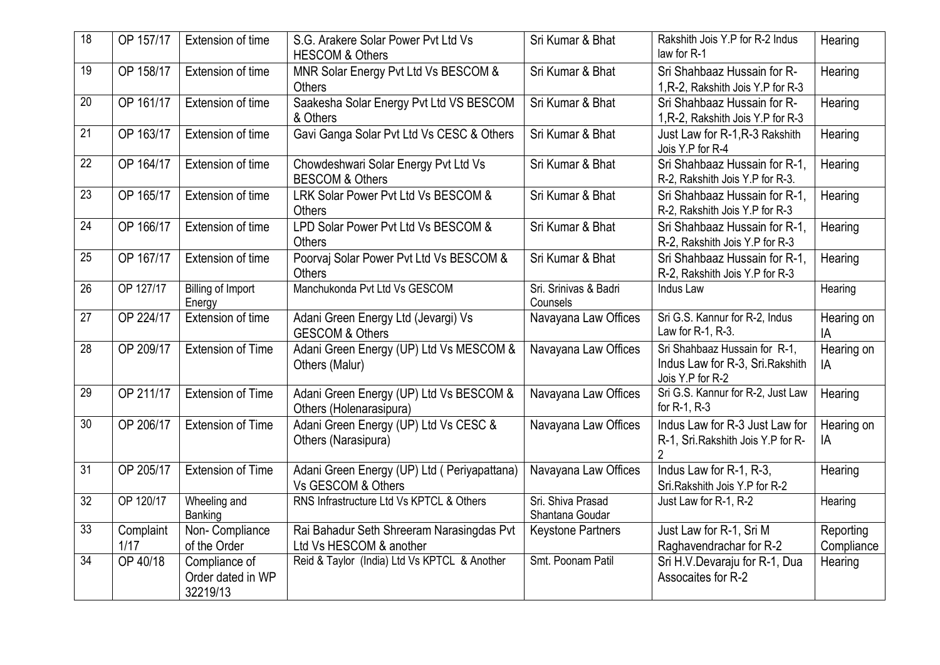| 18 | OP 157/17         | Extension of time                              | S.G. Arakere Solar Power Pvt Ltd Vs<br><b>HESCOM &amp; Others</b>    | Sri Kumar & Bhat                     | Rakshith Jois Y.P for R-2 Indus<br>law for R-1                                        | Hearing                 |
|----|-------------------|------------------------------------------------|----------------------------------------------------------------------|--------------------------------------|---------------------------------------------------------------------------------------|-------------------------|
| 19 | OP 158/17         | Extension of time                              | MNR Solar Energy Pvt Ltd Vs BESCOM &<br><b>Others</b>                | Sri Kumar & Bhat                     | Sri Shahbaaz Hussain for R-<br>1, R-2, Rakshith Jois Y.P for R-3                      | Hearing                 |
| 20 | OP 161/17         | Extension of time                              | Saakesha Solar Energy Pvt Ltd VS BESCOM<br>& Others                  | Sri Kumar & Bhat                     | Sri Shahbaaz Hussain for R-<br>1, R-2, Rakshith Jois Y.P for R-3                      | Hearing                 |
| 21 | OP 163/17         | Extension of time                              | Gavi Ganga Solar Pvt Ltd Vs CESC & Others                            | Sri Kumar & Bhat                     | Just Law for R-1, R-3 Rakshith<br>Jois Y.P for R-4                                    | Hearing                 |
| 22 | OP 164/17         | Extension of time                              | Chowdeshwari Solar Energy Pvt Ltd Vs<br><b>BESCOM &amp; Others</b>   | Sri Kumar & Bhat                     | Sri Shahbaaz Hussain for R-1,<br>R-2, Rakshith Jois Y.P for R-3.                      | Hearing                 |
| 23 | OP 165/17         | Extension of time                              | LRK Solar Power Pvt Ltd Vs BESCOM &<br><b>Others</b>                 | Sri Kumar & Bhat                     | Sri Shahbaaz Hussain for R-1,<br>R-2, Rakshith Jois Y.P for R-3                       | Hearing                 |
| 24 | OP 166/17         | Extension of time                              | LPD Solar Power Pvt Ltd Vs BESCOM &<br><b>Others</b>                 | Sri Kumar & Bhat                     | Sri Shahbaaz Hussain for R-1,<br>R-2, Rakshith Jois Y.P for R-3                       | Hearing                 |
| 25 | OP 167/17         | Extension of time                              | Poorvaj Solar Power Pvt Ltd Vs BESCOM &<br><b>Others</b>             | Sri Kumar & Bhat                     | Sri Shahbaaz Hussain for R-1,<br>R-2, Rakshith Jois Y.P for R-3                       | Hearing                 |
| 26 | OP 127/17         | <b>Billing of Import</b><br>Energy             | Manchukonda Pvt Ltd Vs GESCOM                                        | Sri. Srinivas & Badri<br>Counsels    | Indus Law                                                                             | Hearing                 |
| 27 | OP 224/17         | Extension of time                              | Adani Green Energy Ltd (Jevargi) Vs<br><b>GESCOM &amp; Others</b>    | Navayana Law Offices                 | Sri G.S. Kannur for R-2, Indus<br>Law for R-1, R-3.                                   | Hearing on<br>IA        |
| 28 | OP 209/17         | <b>Extension of Time</b>                       | Adani Green Energy (UP) Ltd Vs MESCOM &<br>Others (Malur)            | Navayana Law Offices                 | Sri Shahbaaz Hussain for R-1,<br>Indus Law for R-3, Sri. Rakshith<br>Jois Y.P for R-2 | Hearing on<br>IA        |
| 29 | OP 211/17         | <b>Extension of Time</b>                       | Adani Green Energy (UP) Ltd Vs BESCOM &<br>Others (Holenarasipura)   | Navayana Law Offices                 | Sri G.S. Kannur for R-2, Just Law<br>for R-1, R-3                                     | Hearing                 |
| 30 | OP 206/17         | <b>Extension of Time</b>                       | Adani Green Energy (UP) Ltd Vs CESC &<br>Others (Narasipura)         | Navayana Law Offices                 | Indus Law for R-3 Just Law for<br>R-1, Sri. Rakshith Jois Y.P for R-<br>2             | Hearing on<br>IA        |
| 31 | OP 205/17         | <b>Extension of Time</b>                       | Adani Green Energy (UP) Ltd ( Periyapattana)<br>Vs GESCOM & Others   | Navayana Law Offices                 | Indus Law for R-1, R-3,<br>Sri Rakshith Jois Y P for R-2                              | Hearing                 |
| 32 | OP 120/17         | Wheeling and<br>Banking                        | RNS Infrastructure Ltd Vs KPTCL & Others                             | Sri. Shiva Prasad<br>Shantana Goudar | Just Law for R-1, R-2                                                                 | Hearing                 |
| 33 | Complaint<br>1/17 | Non-Compliance<br>of the Order                 | Rai Bahadur Seth Shreeram Narasingdas Pvt<br>Ltd Vs HESCOM & another | Keystone Partners                    | Just Law for R-1, Sri M<br>Raghavendrachar for R-2                                    | Reporting<br>Compliance |
| 34 | OP 40/18          | Compliance of<br>Order dated in WP<br>32219/13 | Reid & Taylor (India) Ltd Vs KPTCL & Another                         | Smt. Poonam Patil                    | Sri H.V.Devaraju for R-1, Dua<br>Assocaites for R-2                                   | Hearing                 |